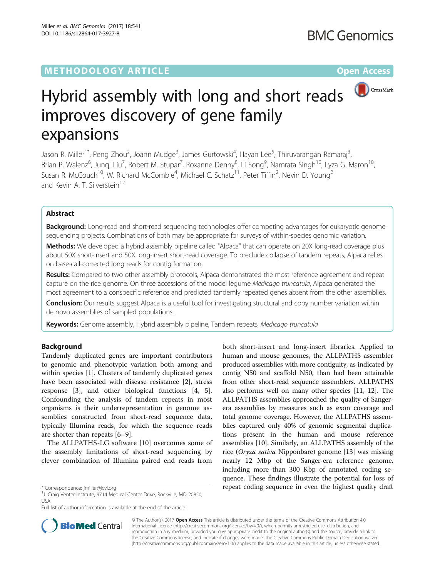# **METHODOLOGY ARTICLE CONSUMING A RESERVE AND LOGISTIC AND LOGISTIC ACCESS**



# Hybrid assembly with long and short reads improves discovery of gene family expansions

Jason R. Miller<sup>1\*</sup>, Peng Zhou<sup>2</sup>, Joann Mudge<sup>3</sup>, James Gurtowski<sup>4</sup>, Hayan Lee<sup>5</sup>, Thiruvarangan Ramaraj<sup>3</sup> , Brian P. Walenz<sup>6</sup>, Junqi Liu<sup>7</sup>, Robert M. Stupar<sup>7</sup>, Roxanne Denny<sup>8</sup>, Li Song<sup>9</sup>, Namrata Singh<sup>10</sup>, Lyza G. Maron<sup>10</sup>, Susan R. McCouch $^{10}$ , W. Richard McCombie $^4$ , Michael C. Schatz $^{11}$ , Peter Tiffin $^2$ , Nevin D. Young $^2$ and Kevin A. T. Silverstein<sup>12</sup>

# Abstract

Background: Long-read and short-read sequencing technologies offer competing advantages for eukaryotic genome sequencing projects. Combinations of both may be appropriate for surveys of within-species genomic variation.

Methods: We developed a hybrid assembly pipeline called "Alpaca" that can operate on 20X long-read coverage plus about 50X short-insert and 50X long-insert short-read coverage. To preclude collapse of tandem repeats, Alpaca relies on base-call-corrected long reads for contig formation.

Results: Compared to two other assembly protocols, Alpaca demonstrated the most reference agreement and repeat capture on the rice genome. On three accessions of the model legume Medicago truncatula, Alpaca generated the most agreement to a conspecific reference and predicted tandemly repeated genes absent from the other assemblies.

**Conclusion:** Our results suggest Alpaca is a useful tool for investigating structural and copy number variation within de novo assemblies of sampled populations.

Keywords: Genome assembly, Hybrid assembly pipeline, Tandem repeats, Medicago truncatula

# Background

Tandemly duplicated genes are important contributors to genomic and phenotypic variation both among and within species [[1\]](#page-10-0). Clusters of tandemly duplicated genes have been associated with disease resistance [\[2](#page-10-0)], stress response [[3\]](#page-10-0), and other biological functions [\[4, 5](#page-10-0)]. Confounding the analysis of tandem repeats in most organisms is their underrepresentation in genome assemblies constructed from short-read sequence data, typically Illumina reads, for which the sequence reads are shorter than repeats [[6](#page-10-0)–[9](#page-10-0)].

The ALLPATHS-LG software [[10\]](#page-10-0) overcomes some of the assembly limitations of short-read sequencing by clever combination of Illumina paired end reads from

both short-insert and long-insert libraries. Applied to human and mouse genomes, the ALLPATHS assembler produced assemblies with more contiguity, as indicated by contig N50 and scaffold N50, than had been attainable from other short-read sequence assemblers. ALLPATHS also performs well on many other species [\[11](#page-10-0), [12](#page-10-0)]. The ALLPATHS assemblies approached the quality of Sangerera assemblies by measures such as exon coverage and total genome coverage. However, the ALLPATHS assemblies captured only 40% of genomic segmental duplications present in the human and mouse reference assemblies [\[10\]](#page-10-0). Similarly, an ALLPATHS assembly of the rice (Oryza sativa Nipponbare) genome [[13](#page-10-0)] was missing nearly 12 Mbp of the Sanger-era reference genome, including more than 300 Kbp of annotated coding sequence. These findings illustrate the potential for loss of \* Correspondence: [jmiller@jcvi.org](mailto:jmiller@jcvi.org) repeat coding sequence in even the highest quality draft



© The Author(s). 2017 **Open Access** This article is distributed under the terms of the Creative Commons Attribution 4.0 International License [\(http://creativecommons.org/licenses/by/4.0/](http://creativecommons.org/licenses/by/4.0/)), which permits unrestricted use, distribution, and reproduction in any medium, provided you give appropriate credit to the original author(s) and the source, provide a link to the Creative Commons license, and indicate if changes were made. The Creative Commons Public Domain Dedication waiver [\(http://creativecommons.org/publicdomain/zero/1.0/](http://creativecommons.org/publicdomain/zero/1.0/)) applies to the data made available in this article, unless otherwise stated.

<sup>&</sup>lt;sup>1</sup>J. Craig Venter Institute, 9714 Medical Center Drive, Rockville, MD 20850, USA

Full list of author information is available at the end of the article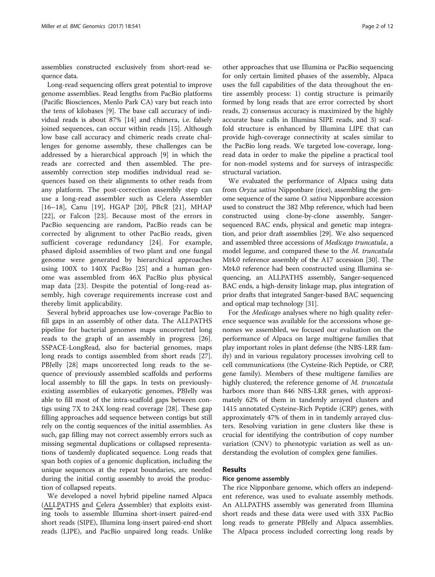assemblies constructed exclusively from short-read sequence data.

Long-read sequencing offers great potential to improve genome assemblies. Read lengths from PacBio platforms (Pacific Biosciences, Menlo Park CA) vary but reach into the tens of kilobases [\[9](#page-10-0)]. The base call accuracy of individual reads is about 87% [[14\]](#page-10-0) and chimera, i.e. falsely joined sequences, can occur within reads [[15](#page-10-0)]. Although low base call accuracy and chimeric reads create challenges for genome assembly, these challenges can be addressed by a hierarchical approach [[9\]](#page-10-0) in which the reads are corrected and then assembled. The preassembly correction step modifies individual read sequences based on their alignments to other reads from any platform. The post-correction assembly step can use a long-read assembler such as Celera Assembler [[16](#page-10-0)–[18\]](#page-10-0), Canu [[19\]](#page-10-0), HGAP [[20\]](#page-10-0), PBcR [[21\]](#page-10-0), MHAP [[22\]](#page-10-0), or Falcon [\[23](#page-10-0)]. Because most of the errors in PacBio sequencing are random, PacBio reads can be corrected by alignment to other PacBio reads, given sufficient coverage redundancy [[24\]](#page-10-0). For example, phased diploid assemblies of two plant and one fungal genome were generated by hierarchical approaches using 100X to 140X PacBio [[25\]](#page-10-0) and a human genome was assembled from 46X PacBio plus physical map data [[23](#page-10-0)]. Despite the potential of long-read assembly, high coverage requirements increase cost and thereby limit applicability.

Several hybrid approaches use low-coverage PacBio to fill gaps in an assembly of other data. The ALLPATHS pipeline for bacterial genomes maps uncorrected long reads to the graph of an assembly in progress [\[26](#page-10-0)]. SSPACE-LongRead, also for bacterial genomes, maps long reads to contigs assembled from short reads [\[27](#page-10-0)]. PBJelly [[28\]](#page-10-0) maps uncorrected long reads to the sequence of previously assembled scaffolds and performs local assembly to fill the gaps. In tests on previouslyexisting assemblies of eukaryotic genomes, PBJelly was able to fill most of the intra-scaffold gaps between contigs using 7X to 24X long-read coverage [\[28\]](#page-10-0). These gap filling approaches add sequence between contigs but still rely on the contig sequences of the initial assemblies. As such, gap filling may not correct assembly errors such as missing segmental duplications or collapsed representations of tandemly duplicated sequence. Long reads that span both copies of a genomic duplication, including the unique sequences at the repeat boundaries, are needed during the initial contig assembly to avoid the production of collapsed repeats.

We developed a novel hybrid pipeline named Alpaca (ALLPATHS and Celera Assembler) that exploits existing tools to assemble Illumina short-insert paired-end short reads (SIPE), Illumina long-insert paired-end short reads (LIPE), and PacBio unpaired long reads. Unlike

other approaches that use Illumina or PacBio sequencing for only certain limited phases of the assembly, Alpaca uses the full capabilities of the data throughout the entire assembly process: 1) contig structure is primarily formed by long reads that are error corrected by short reads, 2) consensus accuracy is maximized by the highly accurate base calls in Illumina SIPE reads, and 3) scaffold structure is enhanced by Illumina LIPE that can provide high-coverage connectivity at scales similar to the PacBio long reads. We targeted low-coverage, longread data in order to make the pipeline a practical tool for non-model systems and for surveys of intraspecific structural variation.

We evaluated the performance of Alpaca using data from Oryza sativa Nipponbare (rice), assembling the genome sequence of the same O. sativa Nipponbare accession used to construct the 382 Mbp reference, which had been constructed using clone-by-clone assembly, Sangersequenced BAC ends, physical and genetic map integration, and prior draft assemblies [[29](#page-10-0)]. We also sequenced and assembled three accessions of Medicago truncatula, a model legume, and compared these to the M. truncatula Mt4.0 reference assembly of the A17 accession [\[30\]](#page-10-0). The Mt4.0 reference had been constructed using Illumina sequencing, an ALLPATHS assembly, Sanger-sequenced BAC ends, a high-density linkage map, plus integration of prior drafts that integrated Sanger-based BAC sequencing and optical map technology [\[31\]](#page-10-0).

For the Medicago analyses where no high quality reference sequence was available for the accessions whose genomes we assembled, we focused our evaluation on the performance of Alpaca on large multigene families that play important roles in plant defense (the NBS-LRR family) and in various regulatory processes involving cell to cell communications (the Cysteine-Rich Peptide, or CRP, gene family). Members of these multigene families are highly clustered; the reference genome of M. truncatula harbors more than 846 NBS-LRR genes, with approximately 62% of them in tandemly arrayed clusters and 1415 annotated Cysteine-Rich Peptide (CRP) genes, with approximately 47% of them in in tandemly arrayed clusters. Resolving variation in gene clusters like these is crucial for identifying the contribution of copy number variation (CNV) to phenotypic variation as well as understanding the evolution of complex gene families.

# Results

# Rice genome assembly

The rice Nipponbare genome, which offers an independent reference, was used to evaluate assembly methods. An ALLPATHS assembly was generated from Illumina short reads and these data were used with 33X PacBio long reads to generate PBJelly and Alpaca assemblies. The Alpaca process included correcting long reads by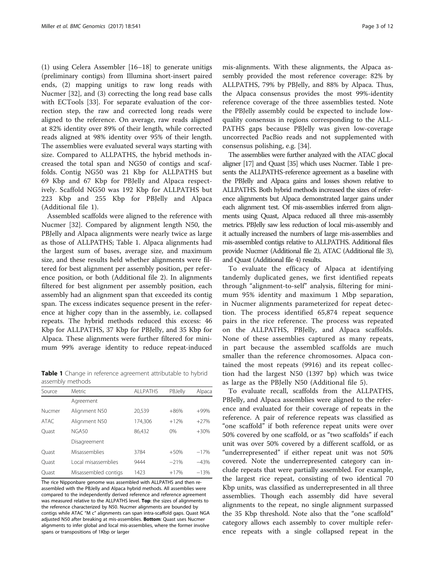<span id="page-2-0"></span>(1) using Celera Assembler [[16](#page-10-0)–[18](#page-10-0)] to generate unitigs (preliminary contigs) from Illumina short-insert paired ends, (2) mapping unitigs to raw long reads with Nucmer [[32\]](#page-10-0), and (3) correcting the long read base calls with ECTools [\[33\]](#page-10-0). For separate evaluation of the correction step, the raw and corrected long reads were aligned to the reference. On average, raw reads aligned at 82% identity over 89% of their length, while corrected reads aligned at 98% identity over 95% of their length. The assemblies were evaluated several ways starting with size. Compared to ALLPATHS, the hybrid methods increased the total span and NG50 of contigs and scaffolds. Contig NG50 was 21 Kbp for ALLPATHS but 69 Kbp and 67 Kbp for PBJelly and Alpaca respectively. Scaffold NG50 was 192 Kbp for ALLPATHS but 223 Kbp and 255 Kbp for PBJelly and Alpaca (Additional file [1\)](#page-9-0).

Assembled scaffolds were aligned to the reference with Nucmer [[32\]](#page-10-0). Compared by alignment length N50, the PBJelly and Alpaca alignments were nearly twice as large as those of ALLPATHS; Table 1. Alpaca alignments had the largest sum of bases, average size, and maximum size, and these results held whether alignments were filtered for best alignment per assembly position, per reference position, or both (Additional file [2](#page-9-0)). In alignments filtered for best alignment per assembly position, each assembly had an alignment span that exceeded its contig span. The excess indicates sequence present in the reference at higher copy than in the assembly, i.e. collapsed repeats. The hybrid methods reduced this excess: 46 Kbp for ALLPATHS, 37 Kbp for PBJelly, and 35 Kbp for Alpaca. These alignments were further filtered for minimum 99% average identity to reduce repeat-induced

Table 1 Change in reference agreement attributable to hybrid assembly methods

| Source | Metric               | <b>ALLPATHS</b> | PBJelly | Alpaca |  |
|--------|----------------------|-----------------|---------|--------|--|
|        | Agreement            |                 |         |        |  |
| Nucmer | Alignment N50        | 20,539          | $+86%$  | $+99%$ |  |
| ATAC.  | Alignment N50        | 174,306         | $+12%$  | $+27%$ |  |
| Ouast  | NGA50                | 86,432          | 0%      | $+30%$ |  |
|        | Disagreement         |                 |         |        |  |
| Ouast  | Misassemblies        | 3784            | $+50%$  | $-17%$ |  |
| Ouast  | Local misassemblies  | 9444            | $-21%$  | $-43%$ |  |
| Ouast  | Misassembled contigs | 1423            | $+17%$  | $-13%$ |  |

The rice Nipponbare genome was assembled with ALLPATHS and then reassembled with the PBJelly and Alpaca hybrid methods. All assemblies were compared to the independently derived reference and reference agreement was measured relative to the ALLPATHS level. Top: the sizes of alignments to the reference characterized by N50. Nucmer alignments are bounded by contigs while ATAC "M c" alignments can span intra-scaffold gaps. Quast NGA adjusted N50 after breaking at mis-assemblies. Bottom: Quast uses Nucmer alignments to infer global and local mis-assemblies, where the former involve spans or transpositions of 1Kbp or larger

mis-alignments. With these alignments, the Alpaca assembly provided the most reference coverage: 82% by ALLPATHS, 79% by PBJelly, and 88% by Alpaca. Thus, the Alpaca consensus provides the most 99%-identity reference coverage of the three assemblies tested. Note the PBJelly assembly could be expected to include lowquality consensus in regions corresponding to the ALL-PATHS gaps because PBJelly was given low-coverage uncorrected PacBio reads and not supplemented with consensus polishing, e.g. [\[34\]](#page-10-0).

The assemblies were further analyzed with the ATAC glocal aligner [\[17\]](#page-10-0) and Quast [\[35](#page-10-0)] which uses Nucmer. Table 1 presents the ALLPATHS-reference agreement as a baseline with the PBJelly and Alpaca gains and losses shown relative to ALLPATHS. Both hybrid methods increased the sizes of reference alignments but Alpaca demonstrated larger gains under each alignment test. Of mis-assemblies inferred from alignments using Quast, Alpaca reduced all three mis-assembly metrics. PBJelly saw less reduction of local mis-assembly and it actually increased the numbers of large mis-assemblies and mis-assembled contigs relative to ALLPATHS. Additional files provide Nucmer (Additional file [2](#page-9-0)), ATAC (Additional file [3\)](#page-9-0), and Quast (Additional file [4](#page-9-0)) results.

To evaluate the efficacy of Alpaca at identifying tandemly duplicated genes, we first identified repeats through "alignment-to-self" analysis, filtering for minimum 95% identity and maximum 1 Mbp separation, in Nucmer alignments parameterized for repeat detection. The process identified 65,874 repeat sequence pairs in the rice reference. The process was repeated on the ALLPATHS, PBJelly, and Alpaca scaffolds. None of these assemblies captured as many repeats, in part because the assembled scaffolds are much smaller than the reference chromosomes. Alpaca contained the most repeats (9916) and its repeat collection had the largest N50 (1397 bp) which was twice as large as the PBJelly N50 (Additional file [5\)](#page-9-0).

To evaluate recall, scaffolds from the ALLPATHS, PBJelly, and Alpaca assemblies were aligned to the reference and evaluated for their coverage of repeats in the reference. A pair of reference repeats was classified as "one scaffold" if both reference repeat units were over 50% covered by one scaffold, or as "two scaffolds" if each unit was over 50% covered by a different scaffold, or as "underrepresented" if either repeat unit was not 50% covered. Note the underrepresented category can include repeats that were partially assembled. For example, the largest rice repeat, consisting of two identical 70 Kbp units, was classified as underrepresented in all three assemblies. Though each assembly did have several alignments to the repeat, no single alignment surpassed the 35 Kbp threshold. Note also that the "one scaffold" category allows each assembly to cover multiple reference repeats with a single collapsed repeat in the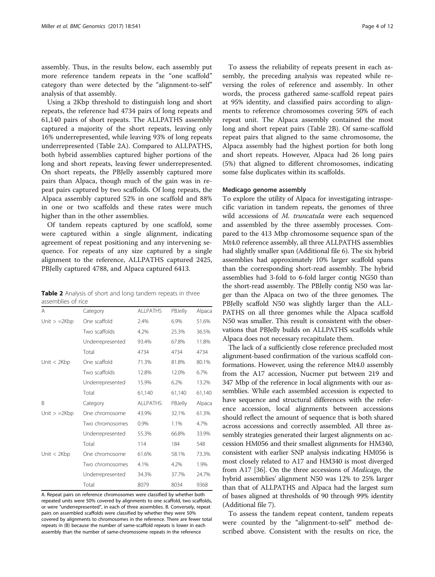<span id="page-3-0"></span>assembly. Thus, in the results below, each assembly put more reference tandem repeats in the "one scaffold" category than were detected by the "alignment-to-self" analysis of that assembly.

Using a 2Kbp threshold to distinguish long and short repeats, the reference had 4734 pairs of long repeats and 61,140 pairs of short repeats. The ALLPATHS assembly captured a majority of the short repeats, leaving only 16% underrepresented, while leaving 93% of long repeats underrepresented (Table 2A). Compared to ALLPATHS, both hybrid assemblies captured higher portions of the long and short repeats, leaving fewer underrepresented. On short repeats, the PBJelly assembly captured more pairs than Alpaca, though much of the gain was in repeat pairs captured by two scaffolds. Of long repeats, the Alpaca assembly captured 52% in one scaffold and 88% in one or two scaffolds and these rates were much higher than in the other assemblies.

Of tandem repeats captured by one scaffold, some were captured within a single alignment, indicating agreement of repeat positioning and any intervening sequence. For repeats of any size captured by a single alignment to the reference, ALLPATHS captured 2425, PBJelly captured 4788, and Alpaca captured 6413.

Table 2 Analysis of short and long tandem repeats in three assemblies of rice

| A              | Category         | <b>ALLPATHS</b> | PBJelly | Alpaca |
|----------------|------------------|-----------------|---------|--------|
| Unit $> =2Kbp$ | One scaffold     | 2.4%            | 6.9%    | 51.6%  |
|                | Two scaffolds    | 4.2%            | 25.3%   | 36.5%  |
|                | Underrepresented | 93.4%           | 67.8%   | 11.8%  |
|                | Total            | 4734            | 4734    | 4734   |
| Unit $<$ 2Kbp  | One scaffold     | 71.3%           | 81.8%   | 80.1%  |
|                | Two scaffolds    | 12.8%           | 12.0%   | 6.7%   |
|                | Underrepresented | 15.9%           | 6.2%    | 13.2%  |
|                | Total            | 61,140          | 61,140  | 61,140 |
| B              | Category         | <b>ALLPATHS</b> | PBJelly | Alpaca |
| Unit $> =2Kbp$ | One chromosome   | 43.9%           | 32.1%   | 61.3%  |
|                | Two chromosomes  | 0.9%            | 1.1%    | 4.7%   |
|                | Underrepresented | 55.3%           | 66.8%   | 33.9%  |
|                | Total            | 114             | 184     | 548    |
| Unit $<$ 2Kbp  | One chromosome   | 61.6%           | 58.1%   | 73.3%  |
|                | Two chromosomes  | 4.1%            | 4.2%    | 1.9%   |
|                | Underrepresented | 34.3%           | 37.7%   | 24.7%  |
|                | Total            | 8079            | 8034    | 9368   |
|                |                  |                 |         |        |

A. Repeat pairs on reference chromosomes were classified by whether both repeated units were 50% covered by alignments to one scaffold, two scaffolds, or were "underrepresented", in each of three assemblies. B. Conversely, repeat pairs on assembled scaffolds were classified by whether they were 50% covered by alignments to chromosomes in the reference. There are fewer total repeats in (B) because the number of same-scaffold repeats is lower in each assembly than the number of same-chromosome repeats in the reference

To assess the reliability of repeats present in each assembly, the preceding analysis was repeated while reversing the roles of reference and assembly. In other words, the process gathered same-scaffold repeat pairs at 95% identity, and classified pairs according to alignments to reference chromosomes covering 50% of each repeat unit. The Alpaca assembly contained the most long and short repeat pairs (Table 2B). Of same-scaffold repeat pairs that aligned to the same chromosome, the Alpaca assembly had the highest portion for both long and short repeats. However, Alpaca had 26 long pairs (5%) that aligned to different chromosomes, indicating some false duplicates within its scaffolds.

#### Medicago genome assembly

To explore the utility of Alpaca for investigating intraspecific variation in tandem repeats, the genomes of three wild accessions of M. truncatula were each sequenced and assembled by the three assembly processes. Compared to the 413 Mbp chromosome sequence span of the Mt4.0 reference assembly, all three ALLPATHS assemblies had slightly smaller span (Additional file [6](#page-9-0)). The six hybrid assemblies had approximately 10% larger scaffold spans than the corresponding short-read assembly. The hybrid assemblies had 3-fold to 6-fold larger contig NG50 than the short-read assembly. The PBJelly contig N50 was larger than the Alpaca on two of the three genomes. The PBJelly scaffold N50 was slightly larger than the ALL-PATHS on all three genomes while the Alpaca scaffold N50 was smaller. This result is consistent with the observations that PBJelly builds on ALLPATHS scaffolds while Alpaca does not necessary recapitulate them.

The lack of a sufficiently close reference precluded most alignment-based confirmation of the various scaffold conformations. However, using the reference Mt4.0 assembly from the A17 accession, Nucmer put between 219 and 347 Mbp of the reference in local alignments with our assemblies. While each assembled accession is expected to have sequence and structural differences with the reference accession, local alignments between accessions should reflect the amount of sequence that is both shared across accessions and correctly assembled. All three assembly strategies generated their largest alignments on accession HM056 and their smallest alignments for HM340, consistent with earlier SNP analysis indicating HM056 is most closely related to A17 and HM340 is most diverged from A17 [[36\]](#page-10-0). On the three accessions of Medicago, the hybrid assemblies' alignment N50 was 12% to 25% larger than that of ALLPATHS and Alpaca had the largest sum of bases aligned at thresholds of 90 through 99% identity (Additional file [7](#page-9-0)).

To assess the tandem repeat content, tandem repeats were counted by the "alignment-to-self" method described above. Consistent with the results on rice, the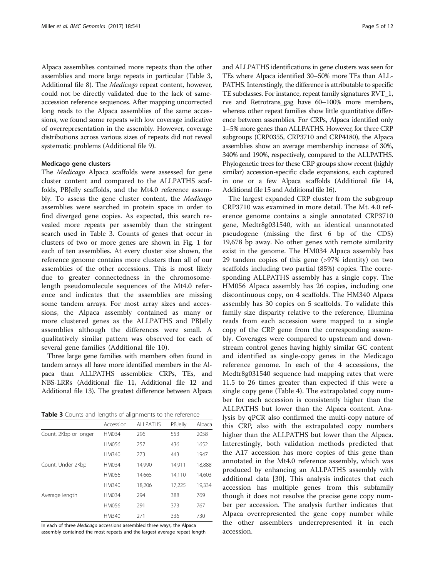Alpaca assemblies contained more repeats than the other assemblies and more large repeats in particular (Table 3, Additional file [8](#page-9-0)). The Medicago repeat content, however, could not be directly validated due to the lack of sameaccession reference sequences. After mapping uncorrected long reads to the Alpaca assemblies of the same accessions, we found some repeats with low coverage indicative of overrepresentation in the assembly. However, coverage distributions across various sizes of repeats did not reveal systematic problems (Additional file [9](#page-9-0)).

# Medicago gene clusters

The Medicago Alpaca scaffolds were assessed for gene cluster content and compared to the ALLPATHS scaffolds, PBJelly scaffolds, and the Mt4.0 reference assembly. To assess the gene cluster content, the Medicago assemblies were searched in protein space in order to find diverged gene copies. As expected, this search revealed more repeats per assembly than the stringent search used in Table 3. Counts of genes that occur in clusters of two or more genes are shown in Fig. [1](#page-5-0) for each of ten assemblies. At every cluster size shown, the reference genome contains more clusters than all of our assemblies of the other accessions. This is most likely due to greater connectedness in the chromosomelength pseudomolecule sequences of the Mt4.0 reference and indicates that the assemblies are missing some tandem arrays. For most array sizes and accessions, the Alpaca assembly contained as many or more clustered genes as the ALLPATHS and PBJelly assemblies although the differences were small. A qualitatively similar pattern was observed for each of several gene families (Additional file [10](#page-9-0)).

Three large gene families with members often found in tandem arrays all have more identified members in the Alpaca than ALLPATHS assemblies: CRPs, TEs, and NBS-LRRs (Additional file [11](#page-9-0), Additional file [12](#page-9-0) and Additional file [13\)](#page-9-0). The greatest difference between Alpaca

|  |  | Table 3 Counts and lengths of alignments to the reference |  |  |
|--|--|-----------------------------------------------------------|--|--|
|  |  |                                                           |  |  |

|                       | Accession    | <b>ALLPATHS</b> | PBJelly | Alpaca |
|-----------------------|--------------|-----------------|---------|--------|
| Count, 2Kbp or longer | <b>HM034</b> | 296             | 553     | 2058   |
|                       | <b>HM056</b> | 257             | 436     | 1652   |
|                       | HM340        | 273             | 443     | 1947   |
| Count, Under 2Kbp     | <b>HM034</b> | 14,990          | 14,911  | 18,888 |
|                       | HM056        | 14,665          | 14,110  | 14,603 |
|                       | HM340        | 18,206          | 17,225  | 19,334 |
| Average length        | <b>HM034</b> | 294             | 388     | 769    |
|                       | <b>HM056</b> | 291             | 373     | 767    |
|                       | HM340        | 271             | 336     | 730    |

In each of three Medicago accessions assembled three ways, the Alpaca assembly contained the most repeats and the largest average repeat length and ALLPATHS identifications in gene clusters was seen for TEs where Alpaca identified 30–50% more TEs than ALL-PATHS. Interestingly, the difference is attributable to specific TE subclasses. For instance, repeat family signatures RVT\_1, rve and Retrotrans\_gag have 60–100% more members, whereas other repeat families show little quantitative difference between assemblies. For CRPs, Alpaca identified only 1–5% more genes than ALLPATHS. However, for three CRP subgroups (CRP0355, CRP3710 and CRP4180), the Alpaca assemblies show an average membership increase of 30%, 340% and 190%, respectively, compared to the ALLPATHS. Phylogenetic trees for these CRP groups show recent (highly similar) accession-specific clade expansions, each captured in one or a few Alpaca scaffolds (Additional file [14](#page-9-0), Additional file [15](#page-9-0) and Additional file [16](#page-9-0)).

The largest expanded CRP cluster from the subgroup CRP3710 was examined in more detail. The Mt. 4.0 reference genome contains a single annotated CRP3710 gene, Medtr8g031540, with an identical unannotated pseudogene (missing the first 6 bp of the CDS) 19,678 bp away. No other genes with remote similarity exist in the genome. The HM034 Alpaca assembly has 29 tandem copies of this gene (>97% identity) on two scaffolds including two partial (85%) copies. The corresponding ALLPATHS assembly has a single copy. The HM056 Alpaca assembly has 26 copies, including one discontinuous copy, on 4 scaffolds. The HM340 Alpaca assembly has 30 copies on 5 scaffolds. To validate this family size disparity relative to the reference, Illumina reads from each accession were mapped to a single copy of the CRP gene from the corresponding assembly. Coverages were compared to upstream and downstream control genes having highly similar GC content and identified as single-copy genes in the Medicago reference genome. In each of the 4 accessions, the Medtr8g031540 sequence had mapping rates that were 11.5 to 26 times greater than expected if this were a single copy gene (Table [4\)](#page-5-0). The extrapolated copy number for each accession is consistently higher than the ALLPATHS but lower than the Alpaca content. Analysis by qPCR also confirmed the multi-copy nature of this CRP, also with the extrapolated copy numbers higher than the ALLPATHS but lower than the Alpaca. Interestingly, both validation methods predicted that the A17 accession has more copies of this gene than annotated in the Mt4.0 reference assembly, which was produced by enhancing an ALLPATHS assembly with additional data [[30\]](#page-10-0). This analysis indicates that each accession has multiple genes from this subfamily though it does not resolve the precise gene copy number per accession. The analysis further indicates that Alpaca overrepresented the gene copy number while the other assemblers underrepresented it in each accession.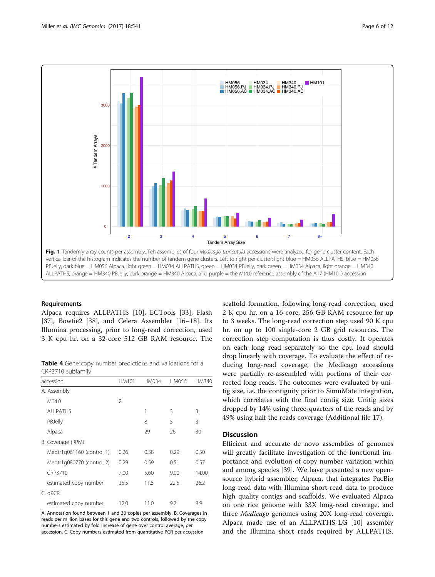<span id="page-5-0"></span>

#### Requirements

Alpaca requires ALLPATHS [[10\]](#page-10-0), ECTools [[33\]](#page-10-0), Flash [[37\]](#page-10-0), Bowtie2 [\[38](#page-10-0)], and Celera Assembler [\[16](#page-10-0)–[18\]](#page-10-0). Its Illumina processing, prior to long-read correction, used 3 K cpu hr. on a 32-core 512 GB RAM resource. The

Table 4 Gene copy number predictions and validations for a CRP3710 subfamily

| accession:                | HM101          | HM034 | <b>HM056</b> | HM340 |  |
|---------------------------|----------------|-------|--------------|-------|--|
| A. Assembly               |                |       |              |       |  |
| MT4.0                     | $\mathfrak{D}$ |       |              |       |  |
| ALL PATHS                 |                | 1     | 3            | 3     |  |
| PBJelly                   |                | 8     | 5            | 3     |  |
| Alpaca                    |                | 29    | 26           | 30    |  |
| B. Coverage (RPM)         |                |       |              |       |  |
| Medtr1q061160 (control 1) | 0.26           | 0.38  | 0.29         | 0.50  |  |
| Medtr1g080770 (control 2) | 0.29           | 0.59  | 0.51         | 0.57  |  |
| CRP3710                   | 7.00           | 5.60  | 9.00         | 14.00 |  |
| estimated copy number     | 25.5           | 11.5  | 22.5         | 26.2  |  |
| C. qPCR                   |                |       |              |       |  |
| estimated copy number     | 12.0           | 11.0  | 9.7          | 8.9   |  |

A. Annotation found between 1 and 30 copies per assembly. B. Coverages in reads per million bases for this gene and two controls, followed by the copy numbers estimated by fold increase of gene over control average, per accession. C. Copy numbers estimated from quantitative PCR per accession

scaffold formation, following long-read correction, used 2 K cpu hr. on a 16-core, 256 GB RAM resource for up to 3 weeks. The long-read correction step used 90 K cpu hr. on up to 100 single-core 2 GB grid resources. The correction step computation is thus costly. It operates on each long read separately so the cpu load should drop linearly with coverage. To evaluate the effect of reducing long-read coverage, the Medicago accessions were partially re-assembled with portions of their corrected long reads. The outcomes were evaluated by unitig size, i.e. the contiguity prior to SimuMate integration, which correlates with the final contig size. Unitig sizes dropped by 14% using three-quarters of the reads and by 49% using half the reads coverage (Additional file [17](#page-9-0)).

# **Discussion**

Efficient and accurate de novo assemblies of genomes will greatly facilitate investigation of the functional importance and evolution of copy number variation within and among species [\[39](#page-11-0)]. We have presented a new opensource hybrid assembler, Alpaca, that integrates PacBio long-read data with Illumina short-read data to produce high quality contigs and scaffolds. We evaluated Alpaca on one rice genome with 33X long-read coverage, and three Medicago genomes using 20X long-read coverage. Alpaca made use of an ALLPATHS-LG [[10\]](#page-10-0) assembly and the Illumina short reads required by ALLPATHS.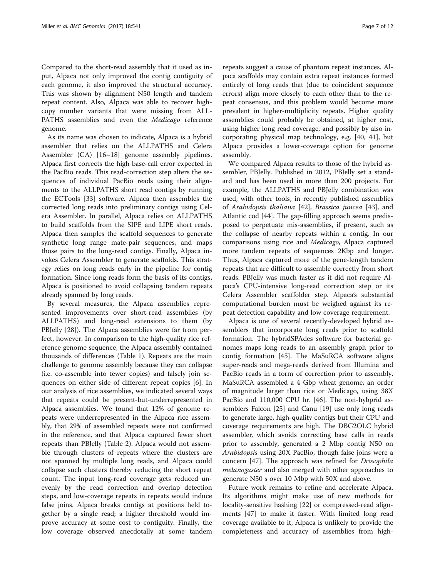Compared to the short-read assembly that it used as input, Alpaca not only improved the contig contiguity of each genome, it also improved the structural accuracy. This was shown by alignment N50 length and tandem repeat content. Also, Alpaca was able to recover highcopy number variants that were missing from ALL-PATHS assemblies and even the Medicago reference genome.

As its name was chosen to indicate, Alpaca is a hybrid assembler that relies on the ALLPATHS and Celera Assembler (CA) [[16](#page-10-0)–[18](#page-10-0)] genome assembly pipelines. Alpaca first corrects the high base-call error expected in the PacBio reads. This read-correction step alters the sequences of individual PacBio reads using their alignments to the ALLPATHS short read contigs by running the ECTools [[33\]](#page-10-0) software. Alpaca then assembles the corrected long reads into preliminary contigs using Celera Assembler. In parallel, Alpaca relies on ALLPATHS to build scaffolds from the SIPE and LIPE short reads. Alpaca then samples the scaffold sequences to generate synthetic long range mate-pair sequences, and maps those pairs to the long-read contigs. Finally, Alpaca invokes Celera Assembler to generate scaffolds. This strategy relies on long reads early in the pipeline for contig formation. Since long reads form the basis of its contigs, Alpaca is positioned to avoid collapsing tandem repeats already spanned by long reads.

By several measures, the Alpaca assemblies represented improvements over short-read assemblies (by ALLPATHS) and long-read extensions to them (by PBJelly [[28\]](#page-10-0)). The Alpaca assemblies were far from perfect, however. In comparison to the high-quality rice reference genome sequence, the Alpaca assembly contained thousands of differences (Table [1](#page-2-0)). Repeats are the main challenge to genome assembly because they can collapse (i.e. co-assemble into fewer copies) and falsely join sequences on either side of different repeat copies [[6\]](#page-10-0). In our analysis of rice assemblies, we indicated several ways that repeats could be present-but-underrepresented in Alpaca assemblies. We found that 12% of genome repeats were underrepresented in the Alpaca rice assembly, that 29% of assembled repeats were not confirmed in the reference, and that Alpaca captured fewer short repeats than PBJelly (Table [2\)](#page-3-0). Alpaca would not assemble through clusters of repeats where the clusters are not spanned by multiple long reads, and Alpaca could collapse such clusters thereby reducing the short repeat count. The input long-read coverage gets reduced unevenly by the read correction and overlap detection steps, and low-coverage repeats in repeats would induce false joins. Alpaca breaks contigs at positions held together by a single read; a higher threshold would improve accuracy at some cost to contiguity. Finally, the low coverage observed anecdotally at some tandem

repeats suggest a cause of phantom repeat instances. Alpaca scaffolds may contain extra repeat instances formed entirely of long reads that (due to coincident sequence errors) align more closely to each other than to the repeat consensus, and this problem would become more prevalent in higher-multiplicity repeats. Higher quality assemblies could probably be obtained, at higher cost, using higher long read coverage, and possibly by also incorporating physical map technology, e.g. [[40, 41](#page-11-0)], but Alpaca provides a lower-coverage option for genome assembly.

We compared Alpaca results to those of the hybrid assembler, PBJelly. Published in 2012, PBJelly set a standard and has been used in more than 200 projects. For example, the ALLPATHS and PBJelly combination was used, with other tools, in recently published assemblies of Arabidopsis thaliana [[42\]](#page-11-0), Brassica juncea [[43\]](#page-11-0), and Atlantic cod [\[44\]](#page-11-0). The gap-filling approach seems predisposed to perpetuate mis-assemblies, if present, such as the collapse of nearby repeats within a contig. In our comparisons using rice and Medicago, Alpaca captured more tandem repeats of sequences 2Kbp and longer. Thus, Alpaca captured more of the gene-length tandem repeats that are difficult to assemble correctly from short reads. PBJelly was much faster as it did not require Alpaca's CPU-intensive long-read correction step or its Celera Assembler scaffolder step. Alpaca's substantial computational burden must be weighed against its repeat detection capability and low coverage requirement.

Alpaca is one of several recently-developed hybrid assemblers that incorporate long reads prior to scaffold formation. The hybridSPAdes software for bacterial genomes maps long reads to an assembly graph prior to contig formation [\[45](#page-11-0)]. The MaSuRCA software aligns super-reads and mega-reads derived from Illumina and PacBio reads in a form of correction prior to assembly. MaSuRCA assembled a 4 Gbp wheat genome, an order of magnitude larger than rice or Medicago, using 38X PacBio and 110,000 CPU hr. [[46](#page-11-0)]. The non-hybprid assemblers Falcon [[25](#page-10-0)] and Canu [\[19](#page-10-0)] use only long reads to generate large, high-quality contigs but their CPU and coverage requirements are high. The DBG2OLC hybrid assembler, which avoids correcting base calls in reads prior to assembly, generated a 2 Mbp contig N50 on Arabidopsis using 20X PacBio, though false joins were a concern [[47\]](#page-11-0). The approach was refined for Drosophila melanogaster and also merged with other approaches to generate N50 s over 10 Mbp with 50X and above.

Future work remains to refine and accelerate Alpaca. Its algorithms might make use of new methods for locality-sensitive hashing [[22\]](#page-10-0) or compressed-read alignments [\[47\]](#page-11-0) to make it faster. With limited long read coverage available to it, Alpaca is unlikely to provide the completeness and accuracy of assemblies from high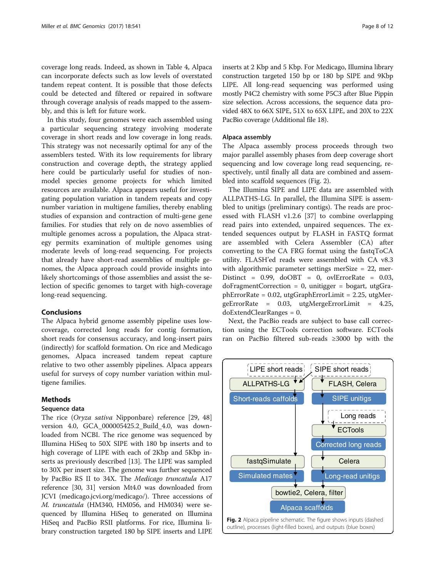coverage long reads. Indeed, as shown in Table [4](#page-5-0), Alpaca can incorporate defects such as low levels of overstated tandem repeat content. It is possible that those defects could be detected and filtered or repaired in software through coverage analysis of reads mapped to the assembly, and this is left for future work.

In this study, four genomes were each assembled using a particular sequencing strategy involving moderate coverage in short reads and low coverage in long reads. This strategy was not necessarily optimal for any of the assemblers tested. With its low requirements for library construction and coverage depth, the strategy applied here could be particularly useful for studies of nonmodel species genome projects for which limited resources are available. Alpaca appears useful for investigating population variation in tandem repeats and copy number variation in multigene families, thereby enabling studies of expansion and contraction of multi-gene gene families. For studies that rely on de novo assemblies of multiple genomes across a population, the Alpaca strategy permits examination of multiple genomes using moderate levels of long-read sequencing. For projects that already have short-read assemblies of multiple genomes, the Alpaca approach could provide insights into likely shortcomings of those assemblies and assist the selection of specific genomes to target with high-coverage long-read sequencing.

# Conclusions

The Alpaca hybrid genome assembly pipeline uses lowcoverage, corrected long reads for contig formation, short reads for consensus accuracy, and long-insert pairs (indirectly) for scaffold formation. On rice and Medicago genomes, Alpaca increased tandem repeat capture relative to two other assembly pipelines. Alpaca appears useful for surveys of copy number variation within multigene families.

# Methods

# Sequence data

The rice (Oryza sativa Nipponbare) reference [[29,](#page-10-0) [48](#page-11-0)] version 4.0, GCA\_000005425.2\_Build\_4.0, was downloaded from NCBI. The rice genome was sequenced by Illumina HiSeq to 50X SIPE with 180 bp inserts and to high coverage of LIPE with each of 2Kbp and 5Kbp inserts as previously described [[13\]](#page-10-0). The LIPE was sampled to 30X per insert size. The genome was further sequenced by PacBio RS II to 34X. The Medicago truncatula A17 reference [\[30](#page-10-0), [31\]](#page-10-0) version Mt4.0 was downloaded from JCVI (medicago[.jcvi.org/medicago](http://jcvi.org/medicago)/). Three accessions of M. truncatula (HM340, HM056, and HM034) were sequenced by Illumina HiSeq to generated on Illumina HiSeq and PacBio RSII platforms. For rice, Illumina library construction targeted 180 bp SIPE inserts and LIPE

inserts at 2 Kbp and 5 Kbp. For Medicago, Illumina library construction targeted 150 bp or 180 bp SIPE and 9Kbp LIPE. All long-read sequencing was performed using mostly P4C2 chemistry with some P5C3 after Blue Pippin size selection. Across accessions, the sequence data provided 48X to 66X SIPE, 51X to 65X LIPE, and 20X to 22X PacBio coverage (Additional file [18](#page-9-0)).

# Alpaca assembly

The Alpaca assembly process proceeds through two major parallel assembly phases from deep coverage short sequencing and low coverage long read sequencing, respectively, until finally all data are combined and assembled into scaffold sequences (Fig. 2).

The Illumina SIPE and LIPE data are assembled with ALLPATHS-LG. In parallel, the Illumina SIPE is assembled to unitigs (preliminary contigs). The reads are processed with FLASH v1.2.6 [\[37](#page-10-0)] to combine overlapping read pairs into extended, unpaired sequences. The extended sequences output by FLASH in FASTQ format are assembled with Celera Assembler (CA) after converting to the CA FRG format using the fastqToCA utility. FLASH'ed reads were assembled with CA v8.3 with algorithmic parameter settings merSize = 22, mer-Distinct =  $0.99$ , doOBT =  $0$ , ovlErrorRate =  $0.03$ ,  $d$ oFragmentCorrection = 0, unitigger = bogart, utgGraphErrorRate = 0.02, utgGraphErrorLimit = 2.25, utgMergeErrorRate = 0.03, utgMergeErrorLimit = 4.25, doExtendClearRanges = 0.

Next, the PacBio reads are subject to base call correction using the ECTools correction software. ECTools ran on PacBio filtered sub-reads ≥3000 bp with the

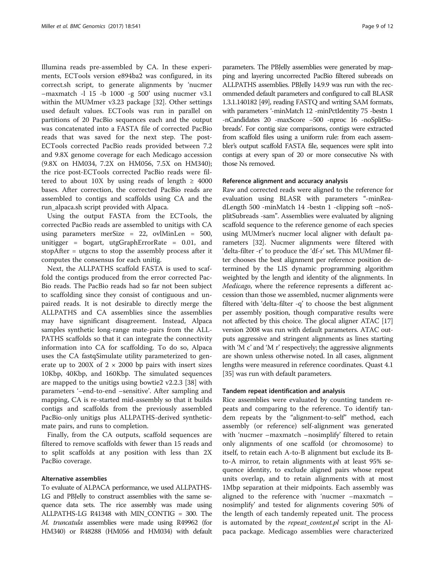Illumina reads pre-assembled by CA. In these experiments, ECTools version e894ba2 was configured, in its correct.sh script, to generate alignments by 'nucmer  $-$ maxmatch -l 15 -b 1000 -g 500' using nucmer v3.1 within the MUMmer v3.23 package [[32\]](#page-10-0). Other settings used default values. ECTools was run in parallel on partitions of 20 PacBio sequences each and the output was concatenated into a FASTA file of corrected PacBio reads that was saved for the next step. The post-ECTools corrected PacBio reads provided between 7.2 and 9.8X genome coverage for each Medicago accession (9.8X on HM034, 7.2X on HM056, 7.5X on HM340); the rice post-ECTools corrected PacBio reads were filtered to about 10X by using reads of length  $\geq$  4000 bases. After correction, the corrected PacBio reads are assembled to contigs and scaffolds using CA and the run\_alpaca.sh script provided with Alpaca.

Using the output FASTA from the ECTools, the corrected PacBio reads are assembled to unitigs with CA using parameters merSize = 22, ovlMinLen = 500, unitigger = bogart, utgGraphErrorRate = 0.01, and stopAfter = utgcns to stop the assembly process after it computes the consensus for each unitig.

Next, the ALLPATHS scaffold FASTA is used to scaffold the contigs produced from the error corrected Pac-Bio reads. The PacBio reads had so far not been subject to scaffolding since they consist of contiguous and unpaired reads. It is not desirable to directly merge the ALLPATHS and CA assemblies since the assemblies may have significant disagreement. Instead, Alpaca samples synthetic long-range mate-pairs from the ALL-PATHS scaffolds so that it can integrate the connectivity information into CA for scaffolding. To do so, Alpaca uses the CA fastqSimulate utility parameterized to generate up to 200X of  $2 \times 2000$  bp pairs with insert sizes 10Kbp, 40Kbp, and 160Kbp. The simulated sequences are mapped to the unitigs using bowtie2 v2.2.3 [\[38](#page-10-0)] with parameters '–end-to-end –sensitive'. After sampling and mapping, CA is re-started mid-assembly so that it builds contigs and scaffolds from the previously assembled PacBio-only unitigs plus ALLPATHS-derived syntheticmate pairs, and runs to completion.

Finally, from the CA outputs, scaffold sequences are filtered to remove scaffolds with fewer than 15 reads and to split scaffolds at any position with less than 2X PacBio coverage.

# Alternative assemblies

To evaluate of ALPACA performance, we used ALLPATHS-LG and PBJelly to construct assemblies with the same sequence data sets. The rice assembly was made using ALLPATHS-LG R41348 with MIN\_CONTIG = 300. The M. truncatula assemblies were made using R49962 (for HM340) or R48288 (HM056 and HM034) with default parameters. The PBJelly assemblies were generated by mapping and layering uncorrected PacBio filtered subreads on ALLPATHS assemblies. PBJelly 14.9.9 was run with the recommended default parameters and configured to call BLASR 1.3.1.140182 [\[49\]](#page-11-0), reading FASTQ and writing SAM formats, with parameters '-minMatch 12 -minPctIdentity 75 -bestn 1 -nCandidates 20 -maxScore −500 -nproc 16 -noSplitSubreads'. For contig size comparisons, contigs were extracted from scaffold files using a uniform rule: from each assembler's output scaffold FASTA file, sequences were split into contigs at every span of 20 or more consecutive Ns with those Ns removed.

# Reference alignment and accuracy analysis

Raw and corrected reads were aligned to the reference for evaluation using BLASR with parameters "-minReadLength 500 -minMatch 14 -bestn 1 -clipping soft –noSplitSubreads -sam". Assemblies were evaluated by aligning scaffold sequence to the reference genome of each species using MUMmer's nucmer local aligner with default parameters [\[32](#page-10-0)]. Nucmer alignments were filtered with 'delta-filter -r' to produce the 'df-r' set. This MUMmer filter chooses the best alignment per reference position determined by the LIS dynamic programming algorithm weighted by the length and identity of the alignments. In Medicago, where the reference represents a different accession than those we assembled, nucmer alignments were filtered with 'delta-filter -q' to choose the best alignment per assembly position, though comparative results were not affected by this choice. The glocal aligner ATAC [[17](#page-10-0)] version 2008 was run with default parameters. ATAC outputs aggressive and stringent alignments as lines starting with 'M c' and 'M r' respectively; the aggressive alignments are shown unless otherwise noted. In all cases, alignment lengths were measured in reference coordinates. Quast 4.1 [[35](#page-10-0)] was run with default parameters.

# Tandem repeat identification and analysis

Rice assemblies were evaluated by counting tandem repeats and comparing to the reference. To identify tandem repeats by the "alignment-to-self" method, each assembly (or reference) self-alignment was generated with 'nucmer –maxmatch –nosimplify' filtered to retain only alignments of one scaffold (or chromosome) to itself, to retain each A-to-B alignment but exclude its Bto-A mirror, to retain alignments with at least 95% sequence identity, to exclude aligned pairs whose repeat units overlap, and to retain alignments with at most 1Mbp separation at their midpoints. Each assembly was aligned to the reference with 'nucmer –maxmatch – nosimplify' and tested for alignments covering 50% of the length of each tandemly repeated unit. The process is automated by the *repeat\_content.pl* script in the Alpaca package. Medicago assemblies were characterized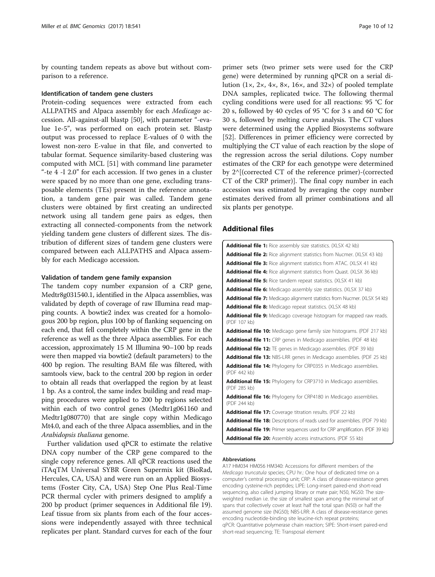<span id="page-9-0"></span>by counting tandem repeats as above but without comparison to a reference.

# Identification of tandem gene clusters

Protein-coding sequences were extracted from each ALLPATHS and Alpaca assembly for each Medicago accession. All-against-all blastp [\[50](#page-11-0)], with parameter "-evalue 1e-5", was performed on each protein set. Blastp output was processed to replace E-values of 0 with the lowest non-zero E-value in that file, and converted to tabular format. Sequence similarity-based clustering was computed with MCL [[51](#page-11-0)] with command line parameter "-te 4 -I 2.0" for each accession. If two genes in a cluster were spaced by no more than one gene, excluding transposable elements (TEs) present in the reference annotation, a tandem gene pair was called. Tandem gene clusters were obtained by first creating an undirected network using all tandem gene pairs as edges, then extracting all connected-components from the network yielding tandem gene clusters of different sizes. The distribution of different sizes of tandem gene clusters were compared between each ALLPATHS and Alpaca assembly for each Medicago accession.

# Validation of tandem gene family expansion

The tandem copy number expansion of a CRP gene, Medtr8g031540.1, identified in the Alpaca assemblies, was validated by depth of coverage of raw Illumina read mapping counts. A bowtie2 index was created for a homologous 200 bp region, plus 100 bp of flanking sequencing on each end, that fell completely within the CRP gene in the reference as well as the three Alpaca assemblies. For each accession, approximately 15 M Illumina 90–100 bp reads were then mapped via bowtie2 (default parameters) to the 400 bp region. The resulting BAM file was filtered, with samtools view, back to the central 200 bp region in order to obtain all reads that overlapped the region by at least 1 bp. As a control, the same index building and read mapping procedures were applied to 200 bp regions selected within each of two control genes (Medtr1g061160 and Medtr1g080770) that are single copy within Medicago Mt4.0, and each of the three Alpaca assemblies, and in the Arabidopsis thaliana genome.

Further validation used qPCR to estimate the relative DNA copy number of the CRP gene compared to the single copy reference genes. All qPCR reactions used the iTAqTM Universal SYBR Green Supermix kit (BioRad, Hercules, CA, USA) and were run on an Applied Biosystems (Foster City, CA, USA) Step One Plus Real-Time PCR thermal cycler with primers designed to amplify a 200 bp product (primer sequences in Additional file 19). Leaf tissue from six plants from each of the four accessions were independently assayed with three technical replicates per plant. Standard curves for each of the four

primer sets (two primer sets were used for the CRP gene) were determined by running qPCR on a serial dilution  $(1 \times, 2 \times, 4 \times, 8 \times, 16 \times,$  and  $32 \times)$  of pooled template DNA samples, replicated twice. The following thermal cycling conditions were used for all reactions: 95 °C for 20 s, followed by 40 cycles of 95 °C for 3 s and 60 °C for 30 s, followed by melting curve analysis. The CT values were determined using the Applied Biosystems software [[52\]](#page-11-0). Differences in primer efficiency were corrected by multiplying the CT value of each reaction by the slope of the regression across the serial dilutions. Copy number estimates of the CRP for each genotype were determined by 2^[(corrected CT of the reference primer)-(corrected CT of the CRP primer)]. The final copy number in each accession was estimated by averaging the copy number estimates derived from all primer combinations and all six plants per genotype.

# Additional files

| <b>Additional file 1:</b> Rice assembly size statistics. (XLSX 42 kb)                    |
|------------------------------------------------------------------------------------------|
| <b>Additional file 2:</b> Rice alignment statistics from Nucmer. (XLSX 43 kb)            |
| <b>Additional file 3:</b> Rice alignment statistics from ATAC. (XLSX 41 kb)              |
| <b>Additional file 4:</b> Rice alignment statistics from Quast. (XLSX 36 kb)             |
| <b>Additional file 5:</b> Rice tandem repeat statistics. (XLSX 41 kb)                    |
| <b>Additional file 6:</b> Medicago assembly size statistics. (XLSX 37 kb)                |
| <b>Additional file 7:</b> Medicago alignment statistics from Nucmer. (XLSX 54 kb)        |
| <b>Additional file 8:</b> Medicago repeat statistics. (XLSX 48 kb)                       |
| Additional file 9: Medicago coverage histogram for mapped raw reads.<br>(PDF 107 kb)     |
| <b>Additional file 10:</b> Medicago gene family size histograms. (PDF 217 kb)            |
| <b>Additional file 11:</b> CRP genes in Medicago assemblies. (PDF 48 kb)                 |
| <b>Additional file 12:</b> TE genes in Medicago assemblies. (PDF 39 kb)                  |
| <b>Additional file 13: NBS-LRR genes in Medicago assemblies. (PDF 25 kb)</b>             |
| Additional file 14: Phylogeny for CRP0355 in Medicago assemblies.<br>(PDF 442 kb)        |
| <b>Additional file 15:</b> Phylogeny for CRP3710 in Medicago assemblies.<br>(PDF 285 kb) |
| <b>Additional file 16:</b> Phylogeny for CRP4180 in Medicago assemblies.<br>(PDF 244 kb) |
| <b>Additional file 17:</b> Coverage titration results. (PDF 22 kb)                       |
| <b>Additional file 18:</b> Descriptions of reads used for assemblies. (PDF 79 kb)        |
| <b>Additional file 19:</b> Primer sequences used for CRP amplification. (PDF 39 kb)      |
| <b>Additional file 20:</b> Assembly access instructions. (PDF 55 kb)                     |

# Abbreviations

A17 HM034 HM056 HM340: Accessions for different members of the Medicago truncatula species; CPU hr.: One hour of dedicated time on a computer's central processing unit; CRP: A class of disease-resistance genes encoding cysteine-rich peptides; LIPE: Long-insert paired-end short-read sequencing, also called jumping library or mate pair; N50, NG50: The sizeweighted median i.e. the size of smallest span among the minimal set of spans that collectively cover at least half the total span (N50) or half the assumed genome size (NG50); NBS-LRR: A class of disease-resistance genes encoding nucleotide-binding site leucine-rich repeat proteins; qPCR: Quantitative polymerase chain reaction; SIPE: Short-insert paired-end short-read sequencing; TE: Transposal element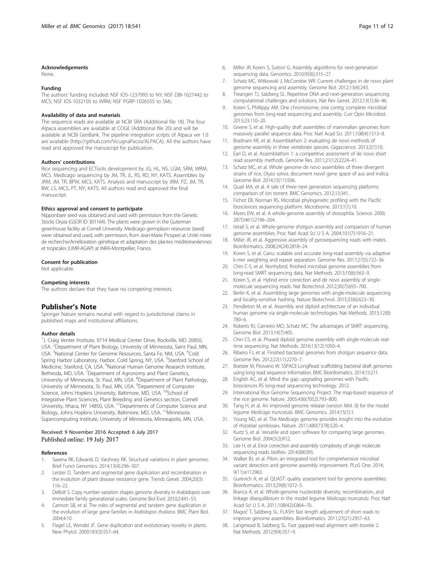#### <span id="page-10-0"></span>Acknowledgements

None.

#### Funding

The authors' funding included: NSF IOS-1237993 to NY; NSF DBI-1627442 to MCS; NSF IOS-1032105 to WRM; NSF PGRP-1026555 to SMc.

#### Availability of data and materials

The sequence reads are available at NCBI SRA (Additional file [18](#page-9-0)). The four Alpaca assemblies are available at COGE (Additional file [20](#page-9-0)) and will be available at NCBI GenBank. The pipeline integration scripts of Alpaca ver 1.0 are available [\(http://github.com/VicugnaPacos/ALPACA](http://github.com/VicugnaPacos/ALPACA)). All the authors have read and approved the manuscript for publication.

# Authors' contributions

Rice sequencing and ECTools development by JG, HL, NS, LGM, SRM, WRM, MCS. Medicago sequencing by JM, TR, JL, RS, RD, NY, KATS. Assemblies by JRM, JM, TR, BPW, MCS, KATS. Analysis and manuscript by JRM, PZ, JM, TR, BW, LS, MCS, PT, NY, KATS. All authors read and approved the final manuscript.

#### Ethics approval and consent to participate

Nipponbare seed was obtained and used with permission from the Genetic Stocks Oryza (GSOR ID 301164). The plants were grown in the Guterman greenhouse facility at Cornell University. Medicago germplasm resources (seed) were obtained and used, with permission, from Jean-Marie Prosperi at Unité mixte de recherche/Amélioration génétique et adaptation des plantes méditerranéennes et tropicales (UMR-AGAP) at INRA-Montpellier, France.

#### Consent for publication

Not applicable.

#### Competing interests

The authors declare that they have no competing interests.

# Publisher's Note

Springer Nature remains neutral with regard to jurisdictional claims in published maps and institutional affiliations.

#### Author details

<sup>1</sup>J. Craig Venter Institute, 9714 Medical Center Drive, Rockville, MD 20850, USA. <sup>2</sup>Department of Plant Biology, University of Minnesota, Saint Paul, MN, USA. <sup>3</sup>National Center for Genome Resources, Santa Fe, NM, USA. <sup>4</sup>Cold Spring Harbor Laboratory, Harbor, Cold Spring, NY, USA. <sup>5</sup>Stanford School of Medicine, Stanford, CA, USA. <sup>6</sup>National Human Genome Research Institute, Bethesda, MD, USA. <sup>7</sup>Department of Agronomy and Plant Genetics, University of Minnesota, St. Paul, MN, USA. <sup>8</sup>Department of Plant Pathology, University of Minnesota, St. Paul, MN, USA. <sup>9</sup>Department of Computer Science, Johns Hopkins University, Baltimore, MD, USA. <sup>10</sup>School of Integrative Plant Sciences, Plant Breeding and Genetics section, Cornell University, Ithaca, NY 14850, USA. <sup>11</sup>Departments of Computer Science and Biology, Johns Hopkins University, Baltimore, MD, USA. 12Minnesota Supercomputing Institute, University of Minnesota, Minneapolis, MN, USA.

# Received: 9 November 2016 Accepted: 6 July 2017 Published online: 19 July 2017

#### References

- Saxena RK, Edwards D, Varshney RK. Structural variations in plant genomes. Brief Funct Genomics. 2014;13(4):296–307.
- Leister D. Tandem and segmental gene duplication and recombination in the evolution of plant disease resistance gene. Trends Genet. 2004;20(3): 116–22.
- 3. DeBolt S. Copy number variation shapes genome diversity in Arabidopsis over immediate family generational scales. Genome Biol Evol. 2010;2:441–53.
- 4. Cannon SB, et al. The roles of segmental and tandem gene duplication in the evolution of large gene families in Arabidopsis thaliana. BMC Plant Biol. 2004;4:10.
- Flagel LE, Wendel JF. Gene duplication and evolutionary novelty in plants. New Phytol. 2009;183(3):557–64.
- sequencing data. Genomics. 2010;95(6):315–27. 7. Schatz MC, Witkowski J, McCombie WR. Current challenges in de novo plant
- genome sequencing and assembly. Genome Biol. 2012;13(4):243. 8. Treangen TJ, Salzberg SL. Repetitive DNA and next-generation sequencing:
- computational challenges and solutions. Nat Rev Genet. 2012;13(1):36–46.
- 9. Koren S, Phillippy AM. One chromosome, one contig: complete microbial genomes from long-read sequencing and assembly. Curr Opin Microbiol. 2015;23:110–20.
- 10. Gnerre S, et al. High-quality draft assemblies of mammalian genomes from massively parallel sequence data. Proc Natl Acad Sci. 2011;108(4):1513–8.
- 11. Bradnam KR, et al. Assemblathon 2: evaluating de novo methods of genome assembly in three vertebrate species. Gigascience. 2013;2(1):10.
- 12. Earl D, et al. Assemblathon 1: a competitive assessment of de novo short read assembly methods. Genome Res. 2011;21(12):2224–41.
- 13. Schatz MC, et al. Whole genome de novo assemblies of three divergent strains of rice, Oryza sativa, document novel gene space of aus and indica. Genome Biol. 2014;15(11):506.
- 14. Quail MA, et al. A tale of three next generation sequencing platforms: comparison of ion torrent. BMC Genomics. 2012;13:341.
- 15. Fichot EB, Norman RS. Microbial phylogenetic profiling with the Pacific biosciences sequencing platform. Microbiome. 2013;1(1):10.
- 16. Myers EW, et al. A whole-genome assembly of drosophila. Science. 2000; 287(5461):2196–204.
- 17. Istrail S, et al. Whole-genome shotgun assembly and comparison of human genome assemblies. Proc Natl Acad Sci U S A. 2004;101(7):1916–21.
- 18. Miller JR, et al. Aggressive assembly of pyrosequencing reads with mates. Bioinformatics. 2008;24(24):2818–24.
- 19. Koren S, et al. Canu: scalable and accurate long-read assembly via adaptive k-mer weighting and repeat separation. Genome Res. 2017;27(5):722–36.
- 20. Chin C-S, et al. Nonhybrid, finished microbial genome assemblies from long-read SMRT sequencing data. Nat Methods. 2013;10(6):563–9.
- 21. Koren S, et al. Hybrid error correction and de novo assembly of singlemolecule sequencing reads. Nat Biotechnol. 2012;30(7):693–700.
- 22. Berlin K, et al. Assembling large genomes with single-molecule sequencing and locality-sensitive hashing. Nature Biotechnol. 2015;33(6):623–30.
- 23. Pendleton M, et al. Assembly and diploid architecture of an individual human genome via single-molecule technologies. Nat Methods. 2015;12(8): 780–6.
- 24. Roberts RJ, Carneiro MO, Schatz MC. The advantages of SMRT sequencing. Genome Biol. 2013;14(7):405.
- 25. Chin CS, et al. Phased diploid genome assembly with single-molecule realtime sequencing. Nat Methods. 2016;13(12):1050–4.
- 26. Ribeiro FJ, et al. Finished bacterial genomes from shotgun sequence data. Genome Res. 2012;22(11):2270–7.
- 27. Boetzer M, Pirovano W. SSPACE-LongRead: scaffolding bacterial draft genomes using long read sequence information. BMC Bioinformatics. 2014;15:211.
- 28. English AC, et al. Mind the gap: upgrading genomes with Pacific biosciences RS long-read sequencing technology. 2012.
- 29. International Rice Genome Sequencing Project. The map-based sequence of the rice genome. Nature. 2005;436(7052):793–800.
- 30. Tang H, et al. An improved genome release (version Mt4. 0) for the model legume Medicago truncatula. BMC Genomics. 2014;15(1):1.
- 31. Young ND, et al. The Medicago genome provides insight into the evolution of rhizobial symbioses. Nature. 2011;480(7378):520–4.
- 32. Kurtz S, et al. Versatile and open software for comparing large genomes. Genome Biol. 2004;5(2):R12.
- 33. Lee H, et al. Error correction and assembly complexity of single molecule sequencing reads. bioRxiv. 2014:006395.
- 34. Walker BJ, et al. Pilon: an integrated tool for comprehensive microbial variant detection and genome assembly improvement. PLoS One. 2014; 9(11):e112963.
- 35. Gurevich A, et al. QUAST: quality assessment tool for genome assemblies. Bioinformatics. 2013;29(8):1072–5.
- 36. Branca A, et al. Whole-genome nucleotide diversity, recombination, and linkage disequilibrium in the model legume Medicago truncatula. Proc Natl Acad Sci U S A. 2011;108(42):E864–70.
- 37. Magoč T, Salzberg SL. FLASH: fast length adjustment of short reads to improve genome assemblies. Bioinformatics. 2011;27(21):2957–63.
- 38. Langmead B, Salzberg SL. Fast gapped-read alignment with bowtie 2. Nat Methods. 2012;9(4):357–9.